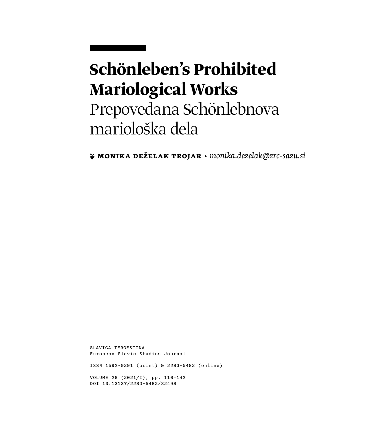# **Schönleben's Prohibited Mariological Works** Prepovedana Schönlebnova mariološka dela

**❦ Monika Deželak Trojar** ▶ *[monika.dezelak@zrc-sazu.si](mailto:monika.dezelak%40zrc-sazu.si?subject=)*

SLAVICA TERGESTINA European Slavic Studies Journal

ISSN 1592-0291 (print) & 2283-5482 (online)

VOLUME 26 (2021/I), pp. 116–142 DOI 10.13137/2283-5482/32498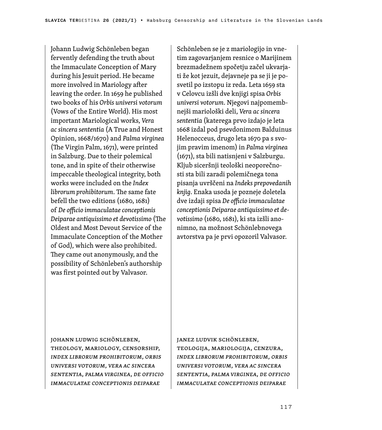Johann Ludwig Schönleben began fervently defending the truth about the Immaculate Conception of Mary during his Jesuit period. He became more involved in Mariology after leaving the order. In 1659 he published two books of his *Orbis universi votorum* (Vows of the Entire World). His most important Mariological works, *Vera ac sincera sententia* (A True and Honest Opinion, 1668/1670) and *Palma virginea* (The Virgin Palm, 1671), were printed in Salzburg. Due to their polemical tone, and in spite of their otherwise impeccable theological integrity, both works were included on the *Index librorum prohibitorum*. The same fate befell the two editions (1680, 1681) of *De officio immaculatae conceptionis Deiparae antiquissimo et devotissimo* (The Oldest and Most Devout Service of the Immaculate Conception of the Mother of God), which were also prohibited. They came out anonymously, and the possibility of Schönleben's authorship was first pointed out by Valvasor.

Schönleben se je z mariologijo in vnetim zagovarjanjem resnice o Marijinem brezmadežnem spočetju začel ukvarjati že kot jezuit, dejavneje pa se ji je posvetil po izstopu iz reda. Leta 1659 sta v Celovcu izšli dve knjigi spisa *Orbis universi votorum*. Njegovi najpomembnejši mariološki deli, *Vera ac sincera sententia* (katerega prvo izdajo je leta 1668 izdal pod psevdonimom Balduinus Helenocceus, drugo leta 1670 pa s svojim pravim imenom) in *Palma virginea* (1671), sta bili natisnjeni v Salzburgu. Kljub siceršnji teološki neoporečnosti sta bili zaradi polemičnega tona pisanja uvrščeni na *Indeks prepovedanih knjig*. Enaka usoda je pozneje doletela dve izdaji spisa *De officio immaculatae conceptionis Deiparae antiquissimo et devotissimo* (1680, 1681), ki sta izšli anonimno, na možnost Schönlebnovega avtorstva pa je prvi opozoril Valvasor.

Johann Ludwig Schönleben, theology, Mariology, censorship, *Index librorum prohibitorum*, *Orbis universi votorum*, *Vera ac sincera sententia*, *Palma virginea*, *De officio immaculatae conceptionis Deiparae*

### Janez Ludvik Schönleben,

teologija, mariologija, cenzura, *Index librorum prohibitorum*, *Orbis universi votorum*, *Vera ac sincera sententia*, *Palma virginea*, *De officio immaculatae conceptionis Deiparae*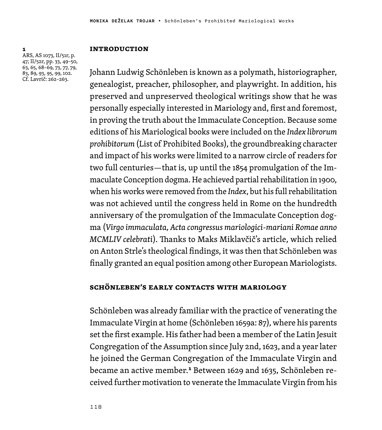#### **Introduction**

1 ARS, AS 1073, II/51r, p. 47; II/52r, pp. 33, 49–50, 63, 65, 68–69, 73, 77, 79, 83, 89, 93, 95, 99, 102. Cf. Lavrič: 262–263.

Johann Ludwig Schönleben is known as a polymath, historiographer, genealogist, preacher, philosopher, and playwright. In addition, his preserved and unpreserved theological writings show that he was personally especially interested in Mariology and, first and foremost, in proving the truth about the Immaculate Conception. Because some editions of his Mariological books were included on the *Index librorum prohibitorum* (List of Prohibited Books), the groundbreaking character and impact of his works were limited to a narrow circle of readers for two full centuries—that is, up until the 1854 promulgation of the Immaculate Conception dogma. He achieved partial rehabilitation in 1900, when his works were removed from the *Index*, but his full rehabilitation was not achieved until the congress held in Rome on the hundredth anniversary of the promulgation of the Immaculate Conception dogma (*Virgo immaculata, Acta congressus mariologici-mariani Romae anno MCMLIV celebrati*). Thanks to Maks Miklavčič's article, which relied on Anton Strle's theological findings, it was then that Schönleben was finally granted an equal position among other European Mariologists.

### **Schönleben's Early Contacts with Mariology**

Schönleben was already familiar with the practice of venerating the Immaculate Virgin at home (Schönleben 1659a: 87), where his parents set the first example. His father had been a member of the Latin Jesuit Congregation of the Assumption since July 2nd, 1623, and a year later he joined the German Congregation of the Immaculate Virgin and became an active member.1 Between 1629 and 1635, Schönleben received further motivation to venerate the Immaculate Virgin from his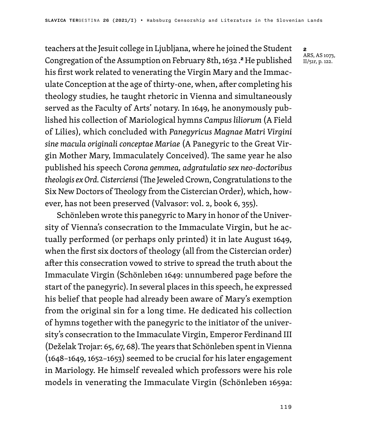teachers at the Jesuit college in Ljubljana, where he joined the Student Congregation of the Assumption on February 8th, 1632 .<sup>2</sup> He published his first work related to venerating the Virgin Mary and the Immaculate Conception at the age of thirty-one, when, after completing his theology studies, he taught rhetoric in Vienna and simultaneously served as the Faculty of Arts' notary. In 1649, he anonymously published his collection of Mariological hymns *Campus liliorum* (A Field of Lilies), which concluded with *Panegyricus Magnae Matri Virgini sine macula originali conceptae Mariae* (A Panegyric to the Great Virgin Mother Mary, Immaculately Conceived). The same year he also published his speech *Corona gemmea, adgratulatio sex neo-doctoribus theologis ex Ord. Cisterciensi* (The Jeweled Crown, Congratulations to the Six New Doctors of Theology from the Cistercian Order), which, however, has not been preserved (Valvasor: vol. 2, book 6, 355).

Schönleben wrote this panegyric to Mary in honor of the University of Vienna's consecration to the Immaculate Virgin, but he actually performed (or perhaps only printed) it in late August 1649, when the first six doctors of theology (all from the Cistercian order) after this consecration vowed to strive to spread the truth about the Immaculate Virgin (Schönleben 1649: unnumbered page before the start of the panegyric). In several places in this speech, he expressed his belief that people had already been aware of Mary's exemption from the original sin for a long time. He dedicated his collection of hymns together with the panegyric to the initiator of the university's consecration to the Immaculate Virgin, Emperor Ferdinand III (Deželak Trojar: 65, 67, 68). The years that Schönleben spent in Vienna (1648–1649, 1652–1653) seemed to be crucial for his later engagement in Mariology. He himself revealed which professors were his role models in venerating the Immaculate Virgin (Schönleben 1659a:

2 ARS, AS 1073, II/51r, p. 122.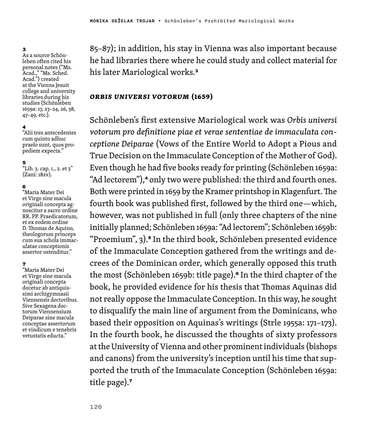$\overline{\mathbf{a}}$ 

As a source Schönleben often cited his personal notes ("Ms. Acad.," "Ms. Sched. Acad.") created at the Vienna Jesuit college and university libraries during his studies (Schönleben 1659a: 17, 23–24, 26, 38, 47–49, etc.).

4 "Alii tres antecedentes cum quinto adhuc praelo sunt, quos propediem expecta."

#### 5

"Lib. 3. cap. 1., 2. et 3" (Zani: 182v).

#### 6

"Maria Mater Dei et Virgo sine macula originali concepta agnoscitur a sacro ordine RR. PP. Praedicatorum, et ex eodem ordine D. Thomas de Aquino, theologorum princeps cum sua schola immaculatae conceptionis assertor ostenditur."

#### 7

"Maria Mater Dei et Virgo sine macula originali concepta docetur ab antiquissimi archigymnasii Viennensis doctoribus. Sive Sexagena doctorum Viennensium Deiparae sine macula conceptae assertorum et vindicum e tenebris vetustatis educta."

85–87); in addition, his stay in Vienna was also important because he had libraries there where he could study and collect material for his later Mariological works.<sup>3</sup>

#### *Orbis universi votorum* **(1659)**

Schönleben's first extensive Mariological work was *Orbis universi votorum pro definitione piae et verae sententiae de immaculata conceptione Deiparae* (Vows of the Entire World to Adopt a Pious and True Decision on the Immaculate Conception of the Mother of God). Even though he had five books ready for printing (Schönleben 1659a: "Ad lectorem"),<sup>4</sup> only two were published: the third and fourth ones. Both were printed in 1659 by the Kramer printshop in Klagenfurt. The fourth book was published first, followed by the third one—which, however, was not published in full (only three chapters of the nine initially planned; Schönleben 1659a: "Ad lectorem"; Schönleben 1659b: "Proemium", 3).<sup>5</sup> In the third book, Schönleben presented evidence of the Immaculate Conception gathered from the writings and decrees of the Dominican order, which generally opposed this truth the most (Schönleben 1659b: title page).<sup>6</sup> In the third chapter of the book, he provided evidence for his thesis that Thomas Aquinas did not really oppose the Immaculate Conception. In this way, he sought to disqualify the main line of argument from the Dominicans, who based their opposition on Aquinas's writings (Strle 1955a: 171–173). In the fourth book, he discussed the thoughts of sixty professors at the University of Vienna and other prominent individuals (bishops and canons) from the university's inception until his time that supported the truth of the Immaculate Conception (Schönleben 1659a: title page).7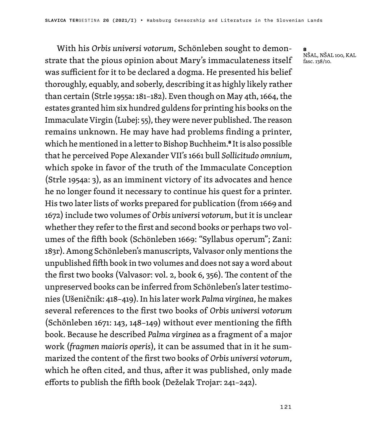With his *Orbis universi votorum*, Schönleben sought to demonstrate that the pious opinion about Mary's immaculateness itself was sufficient for it to be declared a dogma. He presented his belief thoroughly, equably, and soberly, describing it as highly likely rather than certain (Strle 1955a: 181–182). Even though on May 4th, 1664, the estates granted him six hundred guldens for printing his books on the Immaculate Virgin (Lubej: 55), they were never published. The reason remains unknown. He may have had problems finding a printer, which he mentioned in a letter to Bishop Buchheim.<sup>8</sup> It is also possible that he perceived Pope Alexander VII's 1661 bull *Sollicitudo omnium*, which spoke in favor of the truth of the Immaculate Conception (Strle 1954a: 3), as an imminent victory of its advocates and hence he no longer found it necessary to continue his quest for a printer. His two later lists of works prepared for publication (from 1669 and 1672) include two volumes of *Orbis universi votorum*, but it is unclear whether they refer to the first and second books or perhaps two volumes of the fifth book (Schönleben 1669: "Syllabus operum"; Zani: 183r). Among Schönleben's manuscripts, Valvasor only mentions the unpublished fifth book in two volumes and does not say a word about the first two books (Valvasor: vol. 2, book 6, 356). The content of the unpreserved books can be inferred from Schönleben's later testimonies (Ušeničnik: 418–419). In his later work *Palma virginea*, he makes several references to the first two books of *Orbis universi votorum*  (Schönleben 1671: 143, 148–149) without ever mentioning the fifth book. Because he described *Palma virginea* as a fragment of a major work (*fragmen maioris operis*), it can be assumed that in it he summarized the content of the first two books of *Orbis universi votorum*, which he often cited, and thus, after it was published, only made efforts to publish the fifth book (Deželak Trojar: 241–242).

**8**<br>NŠAL, NŠAL 100, KAL fasc. 138/10.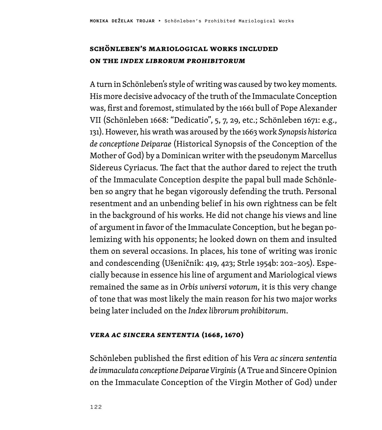## **Schönleben's Mariological Works Included on the** *Index librorum prohibitorum*

A turn in Schönleben's style of writing was caused by two key moments. His more decisive advocacy of the truth of the Immaculate Conception was, first and foremost, stimulated by the 1661 bull of Pope Alexander VII (Schönleben 1668: "Dedicatio", 5, 7, 29, etc.; Schönleben 1671: e.g., 131). However, his wrath was aroused by the 1663 work *Synopsis historica de conceptione Deiparae* (Historical Synopsis of the Conception of the Mother of God) by a Dominican writer with the pseudonym Marcellus Sidereus Cyriacus. The fact that the author dared to reject the truth of the Immaculate Conception despite the papal bull made Schönleben so angry that he began vigorously defending the truth. Personal resentment and an unbending belief in his own rightness can be felt in the background of his works. He did not change his views and line of argument in favor of the Immaculate Conception, but he began polemizing with his opponents; he looked down on them and insulted them on several occasions. In places, his tone of writing was ironic and condescending (Ušeničnik: 419, 423; Strle 1954b: 202–205). Especially because in essence his line of argument and Mariological views remained the same as in *Orbis universi votorum*, it is this very change of tone that was most likely the main reason for his two major works being later included on the *Index librorum prohibitorum*.

#### *Vera ac sincera sententia* **(1668, 1670)**

Schönleben published the first edition of his *Vera ac sincera sententia de immaculata conceptione Deiparae Virginis* (A True and Sincere Opinion on the Immaculate Conception of the Virgin Mother of God) under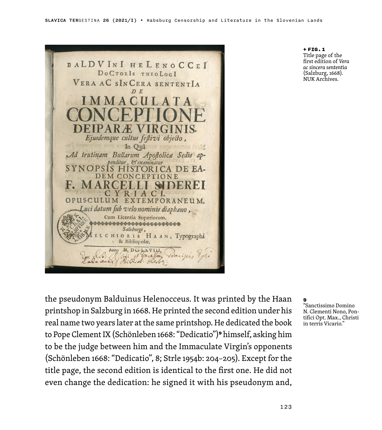

← FIG.1 Title page of the first edition of *Vera ac sincera sententia* (Salzburg, 1668). NUK Archives.

the pseudonym Balduinus Helenocceus. It was printed by the Haan printshop in Salzburg in 1668. He printed the second edition under his real name two years later at the same printshop. He dedicated the book to Pope Clement IX (Schönleben 1668: "Dedicatio")<sup>9</sup> himself, asking him to be the judge between him and the Immaculate Virgin's opponents (Schönleben 1668: "Dedicatio", 8; Strle 1954b: 204–205). Except for the title page, the second edition is identical to the first one. He did not even change the dedication: he signed it with his pseudonym and,

**9**<br>"Sanctissimo Domino N. Clementi Nono, Pontifici Opt. Max., Christi in terris Vicario."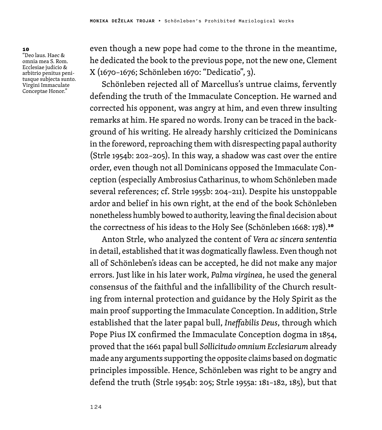10 "Deo laus. Haec & omnia mea S. Rom. Ecclesiae judicio & arbitrio penitus penitusque subjecta sunto. Virgini Immaculate Conceptae Honor."

even though a new pope had come to the throne in the meantime, he dedicated the book to the previous pope, not the new one, Clement X (1670–1676; Schönleben 1670: "Dedicatio", 3).

Schönleben rejected all of Marcellus's untrue claims, fervently defending the truth of the Immaculate Conception. He warned and corrected his opponent, was angry at him, and even threw insulting remarks at him. He spared no words. Irony can be traced in the background of his writing. He already harshly criticized the Dominicans in the foreword, reproaching them with disrespecting papal authority (Strle 1954b: 202–205). In this way, a shadow was cast over the entire order, even though not all Dominicans opposed the Immaculate Conception (especially Ambrosius Catharinus, to whom Schönleben made several references; cf. Strle 1955b: 204–211). Despite his unstoppable ardor and belief in his own right, at the end of the book Schönleben nonetheless humbly bowed to authority, leaving the final decision about the correctness of his ideas to the Holy See (Schönleben 1668: 178).<sup>10</sup>

Anton Strle, who analyzed the content of *Vera ac sincera sententia* in detail, established that it was dogmatically flawless. Even though not all of Schönleben's ideas can be accepted, he did not make any major errors. Just like in his later work, *Palma virginea*, he used the general consensus of the faithful and the infallibility of the Church resulting from internal protection and guidance by the Holy Spirit as the main proof supporting the Immaculate Conception. In addition, Strle established that the later papal bull, *Ineffabilis Deus*, through which Pope Pius IX confirmed the Immaculate Conception dogma in 1854, proved that the 1661 papal bull *Sollicitudo omnium Ecclesiarum* already made any arguments supporting the opposite claims based on dogmatic principles impossible. Hence, Schönleben was right to be angry and defend the truth (Strle 1954b: 205; Strle 1955a: 181–182, 185), but that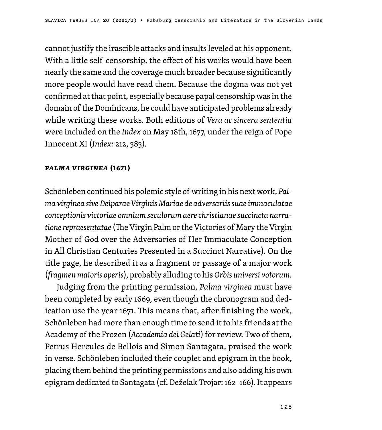cannot justify the irascible attacks and insults leveled at his opponent. With a little self-censorship, the effect of his works would have been nearly the same and the coverage much broader because significantly more people would have read them. Because the dogma was not yet confirmed at that point, especially because papal censorship was in the domain of the Dominicans, he could have anticipated problems already while writing these works. Both editions of *Vera ac sincera sententia* were included on the *Index* on May 18th, 1677, under the reign of Pope Innocent XI (*Index:* 212, 383).

#### *Palma virginea* **(1671)**

Schönleben continued his polemic style of writing in his next work, *Palma virginea sive Deiparae Virginis Mariae de adversariis suae immaculatae conceptionis victoriae omnium seculorum aere christianae succincta narratione repraesentatae* (The Virgin Palm or the Victories of Mary the Virgin Mother of God over the Adversaries of Her Immaculate Conception in All Christian Centuries Presented in a Succinct Narrative). On the title page, he described it as a fragment or passage of a major work (*fragmen maioris operis*), probably alluding to his *Orbis universi votorum.*

Judging from the printing permission, *Palma virginea* must have been completed by early 1669, even though the chronogram and dedication use the year 1671. This means that, after finishing the work, Schönleben had more than enough time to send it to his friends at the Academy of the Frozen (*Accademia dei Gelati*) for review. Two of them, Petrus Hercules de Bellois and Simon Santagata, praised the work in verse. Schönleben included their couplet and epigram in the book, placing them behind the printing permissions and also adding his own epigram dedicated to Santagata (cf. Deželak Trojar: 162–166). It appears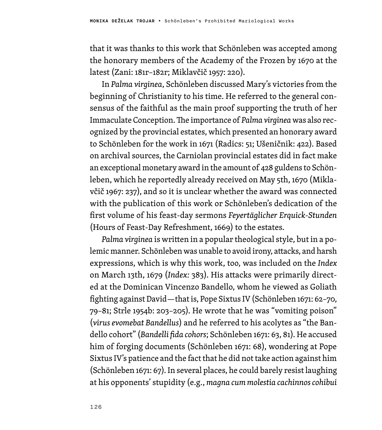that it was thanks to this work that Schönleben was accepted among the honorary members of the Academy of the Frozen by 1670 at the latest (Zani: 181r–182r; Miklavčič 1957: 220).

In *Palma virginea*, Schönleben discussed Mary's victories from the beginning of Christianity to his time. He referred to the general consensus of the faithful as the main proof supporting the truth of her Immaculate Conception. The importance of *Palma virginea* was also recognized by the provincial estates, which presented an honorary award to Schönleben for the work in 1671 (Radics: 51; Ušeničnik: 422). Based on archival sources, the Carniolan provincial estates did in fact make an exceptional monetary award in the amount of 428 guldens to Schönleben, which he reportedly already received on May 5th, 1670 (Miklavčič 1967: 237), and so it is unclear whether the award was connected with the publication of this work or Schönleben's dedication of the first volume of his feast-day sermons *Feyertäglicher Erquick-Stunden* (Hours of Feast-Day Refreshment, 1669) to the estates.

*Palma virginea* is written in a popular theological style, but in a polemic manner. Schönleben was unable to avoid irony, attacks, and harsh expressions, which is why this work, too, was included on the *Index* on March 13th, 1679 (*Index:* 383). His attacks were primarily directed at the Dominican Vincenzo Bandello, whom he viewed as Goliath fighting against David—that is, Pope Sixtus IV (Schönleben 1671: 62–70, 79–81; Strle 1954b: 203–205). He wrote that he was "vomiting poison" (*virus evomebat Bandellus*) and he referred to his acolytes as "the Bandello cohort" (*Bandelli fida cohors*; Schönleben 1671: 63, 81). He accused him of forging documents (Schönleben 1671: 68), wondering at Pope Sixtus IV's patience and the fact that he did not take action against him (Schönleben 1671: 67). In several places, he could barely resist laughing at his opponents' stupidity (e.g., *magna cum molestia cachinnos cohibui*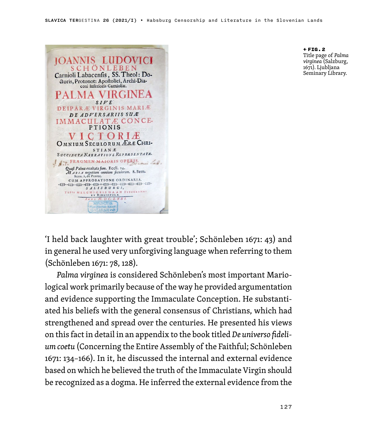

← FIG.2 Title page of *Palma virginea* (Salzburg, 1671). Ljubljana Seminary Library.

'I held back laughter with great trouble'; Schönleben 1671: 43) and in general he used very unforgiving language when referring to them (Schönleben 1671: 78, 128).

*Palma virginea* is considered Schönleben's most important Mariological work primarily because of the way he provided argumentation and evidence supporting the Immaculate Conception. He substantiated his beliefs with the general consensus of Christians, which had strengthened and spread over the centuries. He presented his views on this fact in detail in an appendix to the book titled *De universo fidelium coetu* (Concerning the Entire Assembly of the Faithful; Schönleben 1671: 134–166). In it, he discussed the internal and external evidence based on which he believed the truth of the Immaculate Virgin should be recognized as a dogma. He inferred the external evidence from the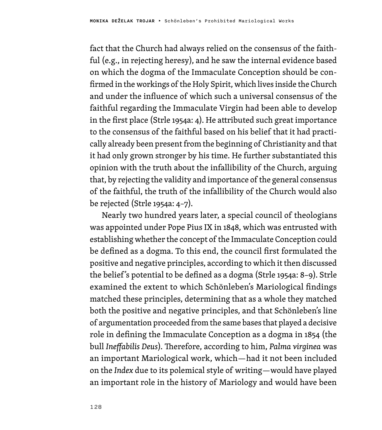fact that the Church had always relied on the consensus of the faithful (e.g., in rejecting heresy), and he saw the internal evidence based on which the dogma of the Immaculate Conception should be confirmed in the workings of the Holy Spirit, which lives inside the Church and under the influence of which such a universal consensus of the faithful regarding the Immaculate Virgin had been able to develop in the first place (Strle 1954a: 4). He attributed such great importance to the consensus of the faithful based on his belief that it had practically already been present from the beginning of Christianity and that it had only grown stronger by his time. He further substantiated this opinion with the truth about the infallibility of the Church, arguing that, by rejecting the validity and importance of the general consensus of the faithful, the truth of the infallibility of the Church would also be rejected (Strle 1954a: 4–7).

Nearly two hundred years later, a special council of theologians was appointed under Pope Pius IX in 1848, which was entrusted with establishing whether the concept of the Immaculate Conception could be defined as a dogma. To this end, the council first formulated the positive and negative principles, according to which it then discussed the belief 's potential to be defined as a dogma (Strle 1954a: 8–9). Strle examined the extent to which Schönleben's Mariological findings matched these principles, determining that as a whole they matched both the positive and negative principles, and that Schönleben's line of argumentation proceeded from the same bases that played a decisive role in defining the Immaculate Conception as a dogma in 1854 (the bull *Ineffabilis Deus*). Therefore, according to him, *Palma virginea* was an important Mariological work, which—had it not been included on the *Index* due to its polemical style of writing—would have played an important role in the history of Mariology and would have been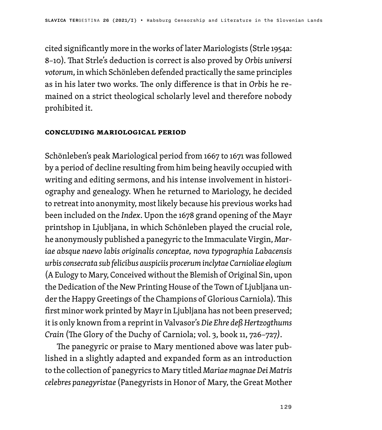cited significantly more in the works of later Mariologists (Strle 1954a: 8–10). That Strle's deduction is correct is also proved by *Orbis universi votorum*, in which Schönleben defended practically the same principles as in his later two works. The only difference is that in *Orbis* he remained on a strict theological scholarly level and therefore nobody prohibited it.

#### **Concluding Mariological Period**

Schönleben's peak Mariological period from 1667 to 1671 was followed by a period of decline resulting from him being heavily occupied with writing and editing sermons, and his intense involvement in historiography and genealogy. When he returned to Mariology, he decided to retreat into anonymity, most likely because his previous works had been included on the *Index*. Upon the 1678 grand opening of the Mayr printshop in Ljubljana, in which Schönleben played the crucial role, he anonymously published a panegyric to the Immaculate Virgin, *Mariae absque naevo labis originalis conceptae, nova typographia Labacensis urbis consecrata sub felicibus auspiciis procerum inclytae Carnioliae elogium*  (A Eulogy to Mary, Conceived without the Blemish of Original Sin, upon the Dedication of the New Printing House of the Town of Ljubljana under the Happy Greetings of the Champions of Glorious Carniola). This first minor work printed by Mayr in Ljubljana has not been preserved; it is only known from a reprint in Valvasor's *Die Ehre deß Hertzogthums Crain* (The Glory of the Duchy of Carniola; vol. 3, book 11, 726–727*)*.

The panegyric or praise to Mary mentioned above was later published in a slightly adapted and expanded form as an introduction to the collection of panegyrics to Mary titled *Mariae magnae Dei Matris celebres panegyristae* (Panegyrists in Honor of Mary, the Great Mother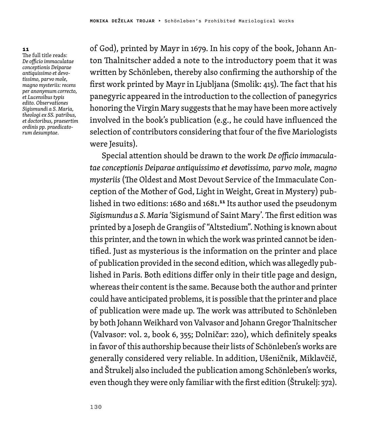#### 11

The full title reads: *De officio immaculatae conceptionis Deiparae antiquissimo et devotissimo, parvo mole, magno mysteriis: recens per anonymum correcto, et Lucensibus typis edito. Observationes Sigismundi a S. Maria, theologi ex SS. patribus, et doctoribus, praesertim ordinis pp. praedicatorum desumptae*.

of God), printed by Mayr in 1679. In his copy of the book, Johann Anton Thalnitscher added a note to the introductory poem that it was written by Schönleben, thereby also confirming the authorship of the first work printed by Mayr in Ljubljana (Smolik: 415). The fact that his panegyric appeared in the introduction to the collection of panegyrics honoring the Virgin Mary suggests that he may have been more actively involved in the book's publication (e.g., he could have influenced the selection of contributors considering that four of the five Mariologists were Jesuits).

Special attention should be drawn to the work *De officio immaculatae conceptionis Deiparae antiquissimo et devotissimo, parvo mole, magno mysteriis* (The Oldest and Most Devout Service of the Immaculate Conception of the Mother of God, Light in Weight, Great in Mystery) published in two editions: 1680 and 1681.<sup>11</sup> Its author used the pseudonym *Sigismundus a S. Maria* 'Sigismund of Saint Mary'. The first edition was printed by a Joseph de Grangiis of "Altstedium". Nothing is known about this printer, and the town in which the work was printed cannot be identified. Just as mysterious is the information on the printer and place of publication provided in the second edition, which was allegedly published in Paris. Both editions differ only in their title page and design, whereas their content is the same. Because both the author and printer could have anticipated problems, it is possible that the printer and place of publication were made up. The work was attributed to Schönleben by both Johann Weikhard von Valvasor and Johann Gregor Thalnitscher (Valvasor: vol. 2, book 6, 355; Dolničar: 220), which definitely speaks in favor of this authorship because their lists of Schönleben's works are generally considered very reliable. In addition, Ušeničnik, Miklavčič, and Štrukelj also included the publication among Schönleben's works, even though they were only familiar with the first edition (Štrukelj: 372).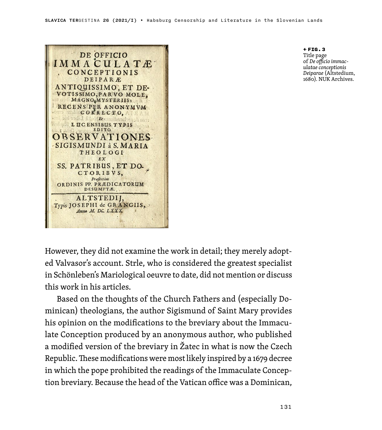

← FIG.3 Title page of *De officio immaculatae conceptionis Deiparae* (Altstedium, 1680). NUK Archives.

However, they did not examine the work in detail; they merely adopted Valvasor's account. Strle, who is considered the greatest specialist in Schönleben's Mariological oeuvre to date, did not mention or discuss this work in his articles.

Based on the thoughts of the Church Fathers and (especially Dominican) theologians, the author Sigismund of Saint Mary provides his opinion on the modifications to the breviary about the Immaculate Conception produced by an anonymous author, who published a modified version of the breviary in Žatec in what is now the Czech Republic. These modifications were most likely inspired by a 1679 decree in which the pope prohibited the readings of the Immaculate Conception breviary. Because the head of the Vatican office was a Dominican,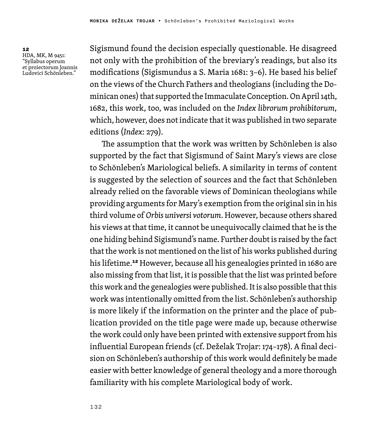12 HDA, MK, M 9451: "Syllabus operum et proiectorum Joannis Ludovici Schönleben."

Sigismund found the decision especially questionable. He disagreed not only with the prohibition of the breviary's readings, but also its modifications (Sigismundus a S. Maria 1681: 3–6). He based his belief on the views of the Church Fathers and theologians (including the Dominican ones) that supported the Immaculate Conception. On April 14th, 1682, this work, too, was included on the *Index librorum prohibitorum*, which, however, does not indicate that it was published in two separate editions (*Index*: 279).

The assumption that the work was written by Schönleben is also supported by the fact that Sigismund of Saint Mary's views are close to Schönleben's Mariological beliefs. A similarity in terms of content is suggested by the selection of sources and the fact that Schönleben already relied on the favorable views of Dominican theologians while providing arguments for Mary's exemption from the original sin in his third volume of *Orbis universi votorum*. However, because others shared his views at that time, it cannot be unequivocally claimed that he is the one hiding behind Sigismund's name. Further doubt is raised by the fact that the work is not mentioned on the list of his works published during his lifetime.<sup>12</sup> However, because all his genealogies printed in 1680 are also missing from that list, it is possible that the list was printed before this work and the genealogies were published. It is also possible that this work was intentionally omitted from the list. Schönleben's authorship is more likely if the information on the printer and the place of publication provided on the title page were made up, because otherwise the work could only have been printed with extensive support from his influential European friends (cf. Deželak Trojar: 174–178). A final decision on Schönleben's authorship of this work would definitely be made easier with better knowledge of general theology and a more thorough familiarity with his complete Mariological body of work.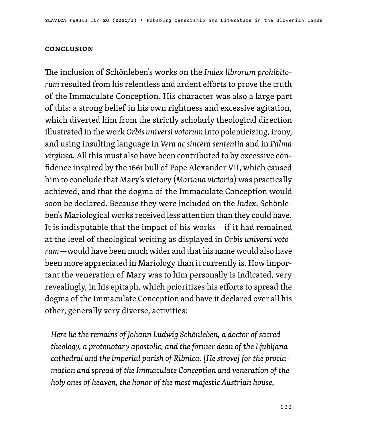#### **CONCLUSION**

The inclusion of Schönleben's works on the *Index librorum prohibitorum* resulted from his relentless and ardent efforts to prove the truth of the Immaculate Conception. His character was also a large part of this: a strong belief in his own rightness and excessive agitation, which diverted him from the strictly scholarly theological direction illustrated in the work *Orbis universi votorum* into polemicizing, irony, and using insulting language in *Vera ac sincera sententia* and in *Palma virginea.* All this must also have been contributed to by excessive confidence inspired by the 1661 bull of Pope Alexander VII, which caused him to conclude that Mary's victory (*Mariana victoria*) was practically achieved, and that the dogma of the Immaculate Conception would soon be declared. Because they were included on the *Index*, Schönleben's Mariological works received less attention than they could have. It is indisputable that the impact of his works—if it had remained at the level of theological writing as displayed in *Orbis universi votorum*—would have been much wider and that his name would also have been more appreciated in Mariology than it currently is. How important the veneration of Mary was to him personally is indicated, very revealingly, in his epitaph, which prioritizes his efforts to spread the dogma of the Immaculate Conception and have it declared over all his other, generally very diverse, activities:

*Here lie the remains of Johann Ludwig Schönleben, a doctor of sacred theology, a protonotary apostolic, and the former dean of the Ljubljana cathedral and the imperial parish of Ribnica. [He strove] for the proclamation and spread of the Immaculate Conception and veneration of the holy ones of heaven, the honor of the most majestic Austrian house,*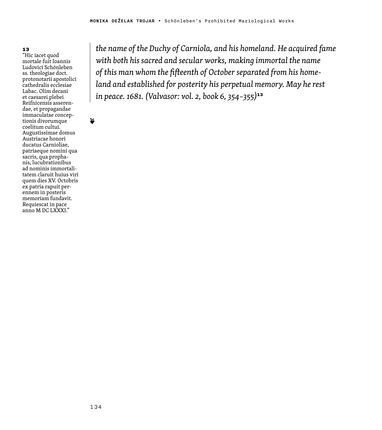#### 13

"Hic iacet quod mortale fuit Ioannis Ludovici Schönleben ss. theologiae doct. protonotarii apostolici cathedralis ecclesiae Labac. Olim decani et caesarei plebei Reifnicensis asserendae, et propagandae immaculatae conceptionis divorumque coelitum cultui. Augustissimae domus Austriacae honori ducatus Carnioliae, patriaeque nomini qua sacris, qua prophanis, lucubrationibus ad nominis immortalitatem claruit huius viri quem dies XV. Octobris ex patria rapuit perennem in posteris memoriam fundavit. Requiescat in pace anno M DC LXXXI."

❦

*the name of the Duchy of Carniola, and his homeland. He acquired fame with both his sacred and secular works, making immortal the name of this man whom the fifteenth of October separated from his homeland and established for posterity his perpetual memory. May he rest in peace. 1681. (Valvasor: vol. 2, book 6, 354–355)*<sup>13</sup>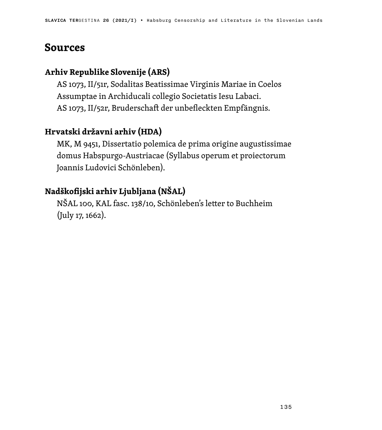## **Sources**

## **Arhiv Republike Slovenije (ARS)**

AS 1073, II/51r, Sodalitas Beatissimae Virginis Mariae in Coelos Assumptae in Archiducali collegio Societatis Iesu Labaci. AS 1073, II/52r, Bruderschaft der unbefleckten Empfängnis.

## **Hrvatski državni arhiv (HDA)**

MK, M 9451, Dissertatio polemica de prima origine augustissimae domus Habspurgo-Austriacae (Syllabus operum et proiectorum Joannis Ludovici Schönleben).

## **Nadškofijski arhiv Ljubljana (NŠAL)**

NŠAL 100, KAL fasc. 138/10, Schönleben's letter to Buchheim (July 17, 1662).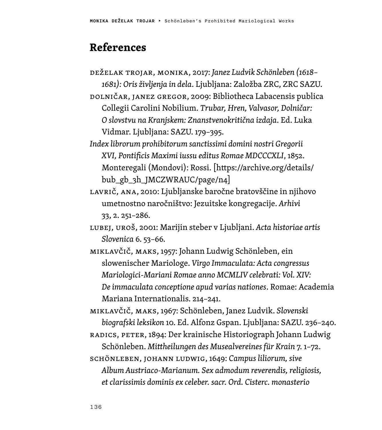## **References**

DEŽELAK TROJAR, MONIKA, 2017: *Janez Ludvik Schönleben (1618– 1681): Oris življenja in dela*. Ljubljana: Založba ZRC, ZRC SAZU.

DOLNIČAR, JANEZ GREGOR, 2009: Bibliotheca Labacensis publica Collegii Carolini Nobilium. *Trubar, Hren, Valvasor, Dolničar: O slovstvu na Kranjskem: Znanstvenokritična izdaja*. Ed. Luka Vidmar. Ljubljana: SAZU. 179–395.

- *Index librorum prohibitorum sanctissimi domini nostri Gregorii XVI, Pontificis Maximi iussu editus Romae MDCCCXLI*, 1852. Monteregali (Mondovi): Rossi. [https://archive.org/details/ bub\_gb\_3h\_JMCZWRAUC/page/n4]
- LAVRIČ, ANA, 2010: Ljubljanske baročne bratovščine in njihovo umetnostno naročništvo: Jezuitske kongregacije. *Arhivi* 33, 2. 251–286.
- LUBEJ, UROŠ, 2001: Marijin steber v Ljubljani. *Acta historiae artis Slovenica* 6. 53–66.
- MIKLAVČIČ, MAKS, 1957: Johann Ludwig Schönleben, ein slowenischer Mariologe. *Virgo Immaculata: Acta congressus Mariologici-Mariani Romae anno MCMLIV celebrati: Vol. XIV: De immaculata conceptione apud varias nationes*. Romae: Academia Mariana Internationalis. 214–241.

MIKLAVČIČ, MAKS, 1967: Schönleben, Janez Ludvik. *Slovenski biografski leksikon* 10. Ed. Alfonz Gspan. Ljubljana: SAZU. 236–240.

RADICS, PETER, 1894: Der krainische Historiograph Johann Ludwig Schönleben. *Mittheilungen des Musealvereines für Krain* 7. 1–72. SCHÖNLEBEN, JOHANN LUDWIG, 1649: *Campus liliorum, sive Album Austriaco-Marianum. Sex admodum reverendis, religiosis, et clarissimis dominis ex celeber. sacr. Ord. Cisterc. monasterio*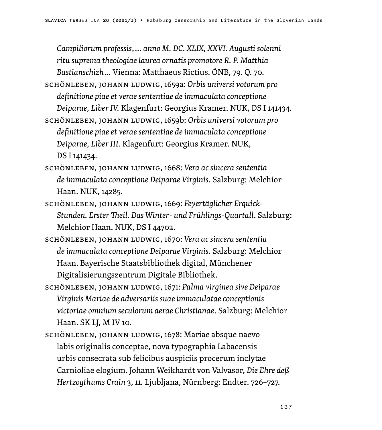*Campiliorum professis*, … *anno M. DC. XLIX, XXVI. Augusti solenni ritu suprema theologiae laurea ornatis promotore R. P. Matthia Bastianschizh …* Vienna: Matthaeus Rictius. ÖNB, 79. Q. 70.

- SCHÖNLEBEN, JOHANN LUDWIG, 1659a: *Orbis universi votorum pro definitione piae et verae sententiae de immaculata conceptione Deiparae, Liber IV.* Klagenfurt: Georgius Kramer. NUK, DS I 141434.
- SCHÖNLEBEN, JOHANN LUDWIG, 1659b: *Orbis universi votorum pro definitione piae et verae sententiae de immaculata conceptione Deiparae, Liber III.* Klagenfurt: Georgius Kramer. NUK, DS I 141434.
- SCHÖNLEBEN, JOHANN LUDWIG, 1668: *Vera ac sincera sententia de immaculata conceptione Deiparae Virginis.* Salzburg: Melchior Haan. NUK, 14285.
- SCHÖNLEBEN, JOHANN LUDWIG, 1669: *Feyertäglicher Erquick-Stunden. Erster Theil. Das Winter- und Frühlings-Quartall*. Salzburg: Melchior Haan. NUK, DS I 44702.
- SCHÖNLEBEN, JOHANN LUDWIG, 1670: *Vera ac sincera sententia de immaculata conceptione Deiparae Virginis.* Salzburg: Melchior Haan. Bayerische Staatsbibliothek digital, Münchener Digitalisierungszentrum Digitale Bibliothek.
- SCHÖNLEBEN, JOHANN LUDWIG, 1671: *Palma virginea sive Deiparae Virginis Mariae de adversariis suae immaculatae conceptionis victoriae omnium seculorum aerae Christianae*. Salzburg: Melchior Haan. SK LJ, M IV 10.
- SCHÖNLEBEN, JOHANN LUDWIG, 1678: Mariae absque naevo labis originalis conceptae, nova typographia Labacensis urbis consecrata sub felicibus auspiciis procerum inclytae Carnioliae elogium. Johann Weikhardt von Valvasor, *Die Ehre deß Hertzogthums Crain* 3, 11*.* Ljubljana, Nürnberg: Endter. 726–727.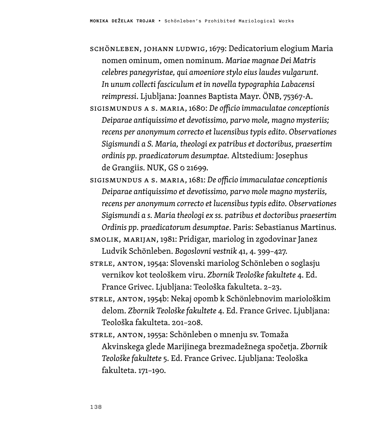SCHÖNLEBEN, JOHANN LUDWIG, 1679: Dedicatorium elogium Maria nomen ominum, omen nominum. *Mariae magnae Dei Matris celebres panegyristae, qui amoeniore stylo eius laudes vulgarunt. In unum collecti fasciculum et in novella typographia Labacensi reimpressi*. Ljubljana: Joannes Baptista Mayr. ÖNB, 75367-A.

SIGISMUNDUS A S. MARIA, 1680: *De officio immaculatae conceptionis Deiparae antiquissimo et devotissimo, parvo mole, magno mysteriis; recens per anonymum correcto et lucensibus typis edito*. *Observationes Sigismundi a S. Maria, theologi ex patribus et doctoribus, praesertim ordinis pp. praedicatorum desumptae.* Altstedium: Josephus de Grangiis. NUK, GS 0 21699.

SIGISMUNDUS A S. MARIA, 1681: *De officio immaculatae conceptionis Deiparae antiquissimo et devotissimo, parvo mole magno mysteriis, recens per anonymum correcto et lucensibus typis edito. Observationes Sigismundi a s. Maria theologi ex ss. patribus et doctoribus praesertim Ordinis pp. praedicatorum desumptae*. Paris: Sebastianus Martinus.

SMOLIK, MARIJAN, 1981: Pridigar, mariolog in zgodovinar Janez Ludvik Schönleben. *Bogoslovni vestnik* 41, 4. 399–427.

STRLE, ANTON, 1954a: Slovenski mariolog Schönleben o soglasju vernikov kot teološkem viru. *Zbornik Teološke fakultete* 4. Ed. France Grivec. Ljubljana: Teološka fakulteta. 2–23.

STRLE, ANTON, 1954b: Nekaj opomb k Schönlebnovim mariološkim delom. *Zbornik Teološke fakultete* 4. Ed. France Grivec. Ljubljana: Teološka fakulteta. 201–208.

STRLE, ANTON, 1955a: Schönleben o mnenju sv. Tomaža Akvinskega glede Marijinega brezmadežnega spočetja. *Zbornik Teološke fakultete* 5. Ed. France Grivec. Ljubljana: Teološka fakulteta. 171–190.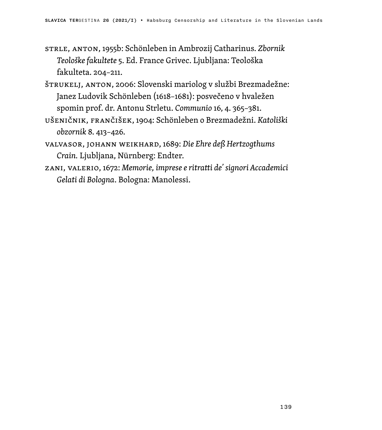- STRLE, ANTON, 1955b: Schönleben in Ambrozij Catharinus. *Zbornik Teološke fakultete* 5. Ed. France Grivec. Ljubljana: Teološka fakulteta. 204–211.
- ŠTRUKELJ, ANTON, 2006: Slovenski mariolog v službi Brezmadežne: Janez Ludovik Schönleben (1618–1681): posvečeno v hvaležen spomin prof. dr. Antonu Strletu. *Communio* 16, 4. 365–381.
- UŠENIČNIK, FRANČIŠEK, 1904: Schönleben o Brezmadežni. *Katoliški obzornik* 8. 413–426.
- VALVASOR, JOHANN WEIKHARD, 1689: *Die Ehre deß Hertzogthums Crain.* Ljubljana, Nürnberg: Endter.
- ZANI, VALERIO, 1672: *Memorie, imprese e ritratti de' signori Accademici Gelati di Bologna*. Bologna: Manolessi.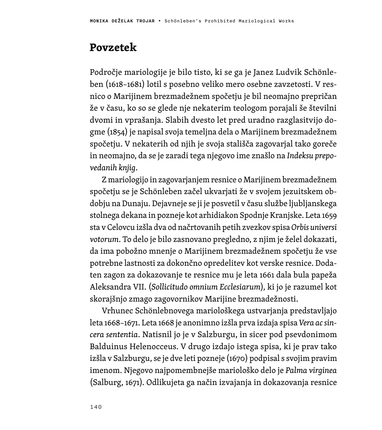## **Povzetek**

Področje mariologije je bilo tisto, ki se ga je Janez Ludvik Schönleben (1618–1681) lotil s posebno veliko mero osebne zavzetosti. V resnico o Marijinem brezmadežnem spočetju je bil neomajno prepričan že v času, ko so se glede nje nekaterim teologom porajali še številni dvomi in vprašanja. Slabih dvesto let pred uradno razglasitvijo dogme (1854) je napisal svoja temeljna dela o Marijinem brezmadežnem spočetju. V nekaterih od njih je svoja stališča zagovarjal tako goreče in neomajno, da se je zaradi tega njegovo ime znašlo na *Indeksu prepovedanih knjig*.

Z mariologijo in zagovarjanjem resnice o Marijinem brezmadežnem spočetju se je Schönleben začel ukvarjati že v svojem jezuitskem obdobju na Dunaju. Dejavneje se ji je posvetil v času službe ljubljanskega stolnega dekana in pozneje kot arhidiakon Spodnje Kranjske. Leta 1659 sta v Celovcu izšla dva od načrtovanih petih zvezkov spisa *Orbis universi votorum*. To delo je bilo zasnovano pregledno, z njim je želel dokazati, da ima pobožno mnenje o Marijinem brezmadežnem spočetju že vse potrebne lastnosti za dokončno opredelitev kot verske resnice. Dodaten zagon za dokazovanje te resnice mu je leta 1661 dala bula papeža Aleksandra VII. (*Sollicitudo omnium Ecclesiarum*), ki jo je razumel kot skorajšnjo zmago zagovornikov Marijine brezmadežnosti.

Vrhunec Schönlebnovega mariološkega ustvarjanja predstavljajo leta 1668–1671. Leta 1668 je anonimno izšla prva izdaja spisa *Vera ac sincera sententia*. Natisnil jo je v Salzburgu, in sicer pod psevdonimom Balduinus Helenocceus. V drugo izdajo istega spisa, ki je prav tako izšla v Salzburgu, se je dve leti pozneje (1670) podpisal s svojim pravim imenom. Njegovo najpomembnejše mariološko delo je *Palma virginea* (Salburg, 1671). Odlikujeta ga način izvajanja in dokazovanja resnice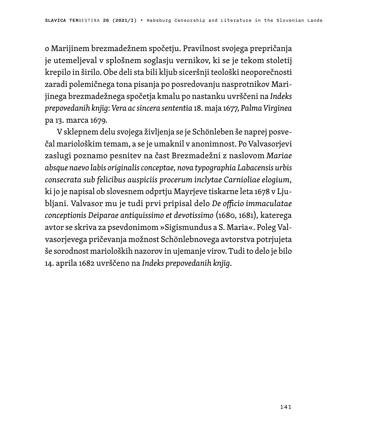o Marijinem brezmadežnem spočetju. Pravilnost svojega prepričanja je utemeljeval v splošnem soglasju vernikov, ki se je tekom stoletij krepilo in širilo. Obe deli sta bili kljub siceršnji teološki neoporečnosti zaradi polemičnega tona pisanja po posredovanju nasprotnikov Marijinega brezmadežnega spočetja kmalu po nastanku uvrščeni na *Indeks prepovedanih knjig*: *Vera ac sincera sententia* 18. maja 1677, *Palma Virginea* pa 13. marca 1679.

V sklepnem delu svojega življenja se je Schönleben še naprej posvečal mariološkim temam, a se je umaknil v anonimnost. Po Valvasorjevi zaslugi poznamo pesnitev na čast Brezmadežni z naslovom *Mariae absque naevo labis originalis conceptae, nova typographia Labacensis urbis consecrata sub felicibus auspiciis procerum inclytae Carnioliae elogium*, ki jo je napisal ob slovesnem odprtju Mayrjeve tiskarne leta 1678 v Ljubljani. Valvasor mu je tudi prvi pripisal delo *De officio immaculatae conceptionis Deiparae antiquissimo et devotissimo* (1680, 1681), katerega avtor se skriva za psevdonimom »Sigismundus a S. Maria«. Poleg Valvasorjevega pričevanja možnost Schönlebnovega avtorstva potrjujeta še sorodnost marioloških nazorov in ujemanje virov. Tudi to delo je bilo 14. aprila 1682 uvrščeno na *Indeks prepovedanih knjig*.